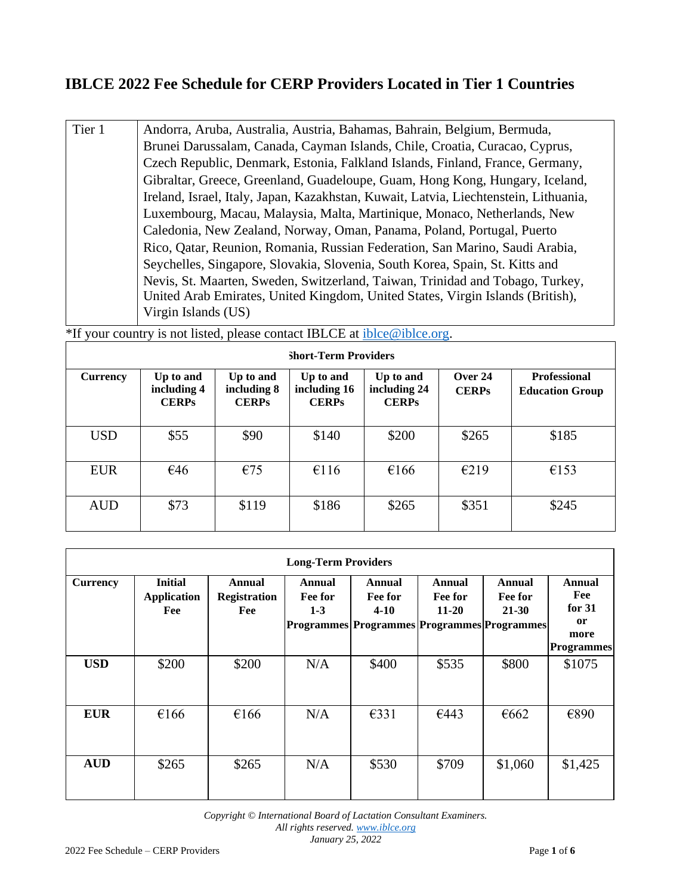## **IBLCE 2022 Fee Schedule for CERP Providers Located in Tier 1 Countries**

Tier 1 Andorra, Aruba, Australia, Austria, Bahamas, Bahrain, Belgium, Bermuda, Brunei Darussalam, Canada, Cayman Islands, Chile, Croatia, Curacao, Cyprus, Czech Republic, Denmark, Estonia, Falkland Islands, Finland, France, Germany, Gibraltar, Greece, Greenland, Guadeloupe, Guam, Hong Kong, Hungary, Iceland, Ireland, Israel, Italy, Japan, Kazakhstan, Kuwait, Latvia, Liechtenstein, Lithuania, Luxembourg, Macau, Malaysia, Malta, Martinique, Monaco, Netherlands, New Caledonia, New Zealand, Norway, Oman, Panama, Poland, Portugal, Puerto Rico, Qatar, Reunion, Romania, Russian Federation, San Marino, Saudi Arabia, Seychelles, Singapore, Slovakia, Slovenia, South Korea, Spain, St. Kitts and Nevis, St. Maarten, Sweden, Switzerland, Taiwan, Trinidad and Tobago, Turkey, United Arab Emirates, United Kingdom, United States, Virgin Islands (British), Virgin Islands (US)

\*If your country is not listed, please contact IBLCE at iblce@iblce.org.

| <b>Short-Term Providers</b> |                                          |                                          |                                           |                                           |                         |                                               |  |  |
|-----------------------------|------------------------------------------|------------------------------------------|-------------------------------------------|-------------------------------------------|-------------------------|-----------------------------------------------|--|--|
| <b>Currency</b>             | Up to and<br>including 4<br><b>CERPs</b> | Up to and<br>including 8<br><b>CERPs</b> | Up to and<br>including 16<br><b>CERPs</b> | Up to and<br>including 24<br><b>CERPs</b> | Over 24<br><b>CERPs</b> | <b>Professional</b><br><b>Education Group</b> |  |  |
| <b>USD</b>                  | \$55                                     | \$90                                     | \$140                                     | \$200                                     | \$265                   | \$185                                         |  |  |
| <b>EUR</b>                  | €46                                      | €75                                      | €116                                      | €166                                      | E219                    | €153                                          |  |  |
| <b>AUD</b>                  | \$73                                     | \$119                                    | \$186                                     | \$265                                     | \$351                   | \$245                                         |  |  |

| <b>Long-Term Providers</b> |                                             |                                      |                                                                                    |                                  |                                |                            |                                                                         |  |  |
|----------------------------|---------------------------------------------|--------------------------------------|------------------------------------------------------------------------------------|----------------------------------|--------------------------------|----------------------------|-------------------------------------------------------------------------|--|--|
| <b>Currency</b>            | <b>Initial</b><br><b>Application</b><br>Fee | Annual<br><b>Registration</b><br>Fee | Annual<br>Fee for<br>$1 - 3$<br><b>Programmes Programmes Programmes Programmes</b> | <b>Annual</b><br>Fee for<br>4-10 | Annual<br>Fee for<br>$11 - 20$ | Annual<br>Fee for<br>21-30 | Annual<br>Fee<br>for $31$<br><sub>or</sub><br>more<br><b>Programmes</b> |  |  |
| <b>USD</b>                 | \$200                                       | \$200                                | N/A                                                                                | \$400                            | \$535                          | \$800                      | \$1075                                                                  |  |  |
| <b>EUR</b>                 | €166                                        | €166                                 | N/A                                                                                | $\epsilon$ 331                   | €443                           | €662                       | €890                                                                    |  |  |
| <b>AUD</b>                 | \$265                                       | \$265                                | N/A                                                                                | \$530                            | \$709                          | \$1,060                    | \$1,425                                                                 |  |  |

*Copyright © International Board of Lactation Consultant Examiners. All rights reserved[. www.iblce.org](http://www.iblce.org/) January 25, 2022*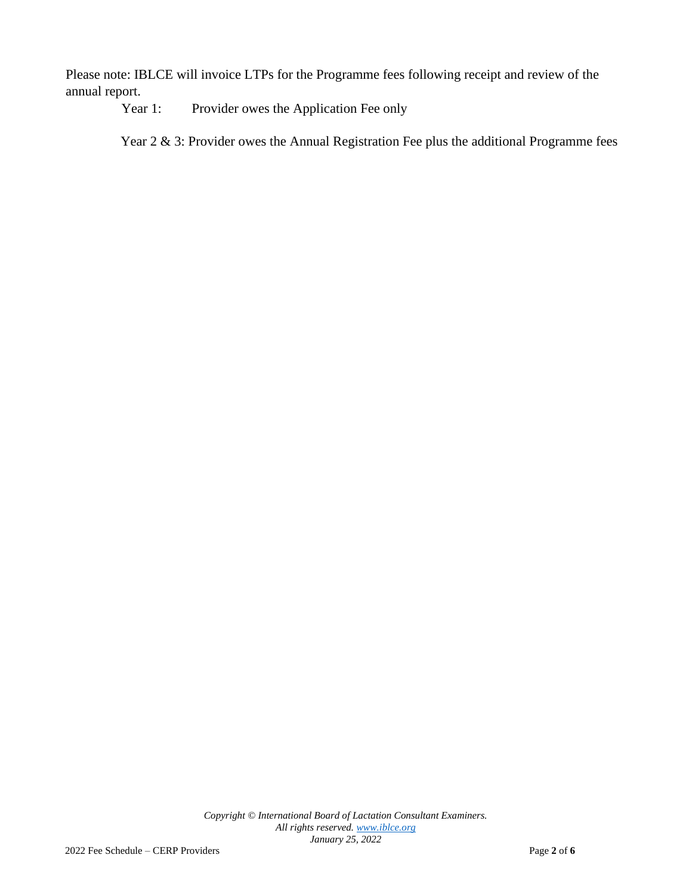Please note: IBLCE will invoice LTPs for the Programme fees following receipt and review of the annual report.

Year 1: Provider owes the Application Fee only

Year 2 & 3: Provider owes the Annual Registration Fee plus the additional Programme fees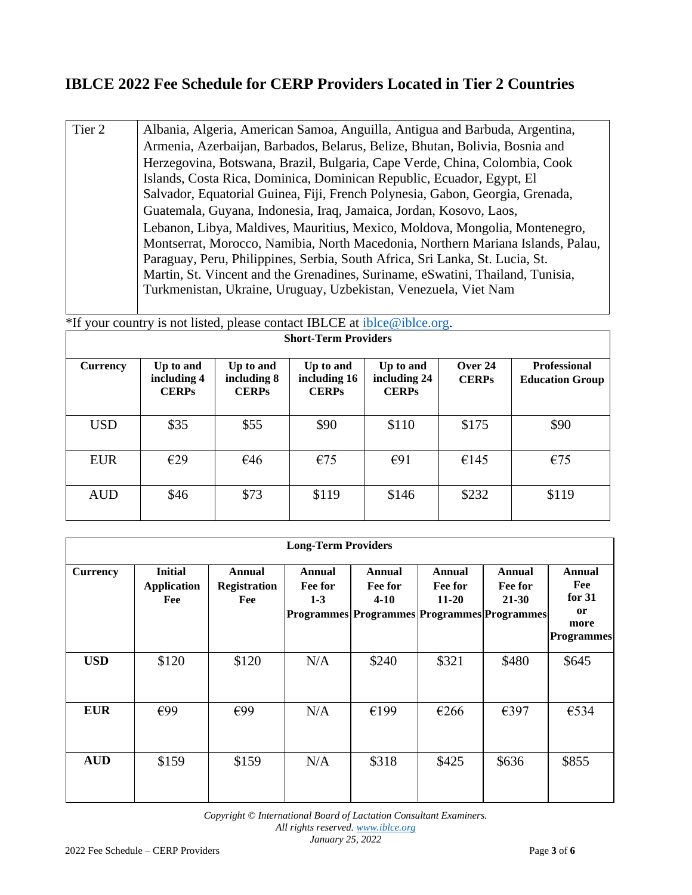## **IBLCE 2022 Fee Schedule for CERP Providers Located in Tier 2 Countries**

Tier 2 Albania, Algeria, American Samoa, Anguilla, Antigua and Barbuda, Argentina, Armenia, Azerbaijan, Barbados, Belarus, Belize, Bhutan, Bolivia, Bosnia and Herzegovina, Botswana, Brazil, Bulgaria, Cape Verde, China, Colombia, Cook Islands, Costa Rica, Dominica, Dominican Republic, Ecuador, Egypt, El Salvador, Equatorial Guinea, Fiji, French Polynesia, Gabon, Georgia, Grenada, Guatemala, Guyana, Indonesia, Iraq, Jamaica, Jordan, Kosovo, Laos, Lebanon, Libya, Maldives, Mauritius, Mexico, Moldova, Mongolia, Montenegro, Montserrat, Morocco, Namibia, North Macedonia, Northern Mariana Islands, Palau, Paraguay, Peru, Philippines, Serbia, South Africa, Sri Lanka, St. Lucia, St. Martin, St. Vincent and the Grenadines, Suriname, eSwatini, Thailand, Tunisia, Turkmenistan, Ukraine, Uruguay, Uzbekistan, Venezuela, Viet Nam

\*If your country is not listed, please contact IBLCE at iblce@iblce.org.

| <b>Short-Term Providers</b> |                                          |                                          |                                           |                                           |                         |                                               |  |  |
|-----------------------------|------------------------------------------|------------------------------------------|-------------------------------------------|-------------------------------------------|-------------------------|-----------------------------------------------|--|--|
| <b>Currency</b>             | Up to and<br>including 4<br><b>CERPs</b> | Up to and<br>including 8<br><b>CERPs</b> | Up to and<br>including 16<br><b>CERPs</b> | Up to and<br>including 24<br><b>CERPs</b> | Over 24<br><b>CERPs</b> | <b>Professional</b><br><b>Education Group</b> |  |  |
| <b>USD</b>                  | \$35                                     | \$55                                     | \$90                                      | \$110                                     | \$175                   | \$90                                          |  |  |
| <b>EUR</b>                  | E29                                      | €46                                      | €75                                       | E91                                       | €145                    | €75                                           |  |  |
| <b>AUD</b>                  | \$46                                     | \$73                                     | \$119                                     | \$146                                     | \$232                   | \$119                                         |  |  |

| <b>Long-Term Providers</b> |                                             |                                      |                                                                             |                               |                                |                                |                                                              |  |
|----------------------------|---------------------------------------------|--------------------------------------|-----------------------------------------------------------------------------|-------------------------------|--------------------------------|--------------------------------|--------------------------------------------------------------|--|
| <b>Currency</b>            | <b>Initial</b><br><b>Application</b><br>Fee | Annual<br><b>Registration</b><br>Fee | Annual<br>Fee for<br>$1 - 3$<br>Programmes Programmes Programmes Programmes | Annual<br>Fee for<br>$4 - 10$ | Annual<br>Fee for<br>$11 - 20$ | Annual<br>Fee for<br>$21 - 30$ | Annual<br>Fee<br>for $31$<br>or<br>more<br><b>Programmes</b> |  |
| <b>USD</b>                 | \$120                                       | \$120                                | N/A                                                                         | \$240                         | \$321                          | \$480                          | \$645                                                        |  |
| <b>EUR</b>                 | €99                                         | €99                                  | N/A                                                                         | €199                          | €266                           | €397                           | €534                                                         |  |
| <b>AUD</b>                 | \$159                                       | \$159                                | N/A                                                                         | \$318                         | \$425                          | \$636                          | \$855                                                        |  |

*Copyright © International Board of Lactation Consultant Examiners. All rights reserved[. www.iblce.org](http://www.iblce.org/) January 25, 2022*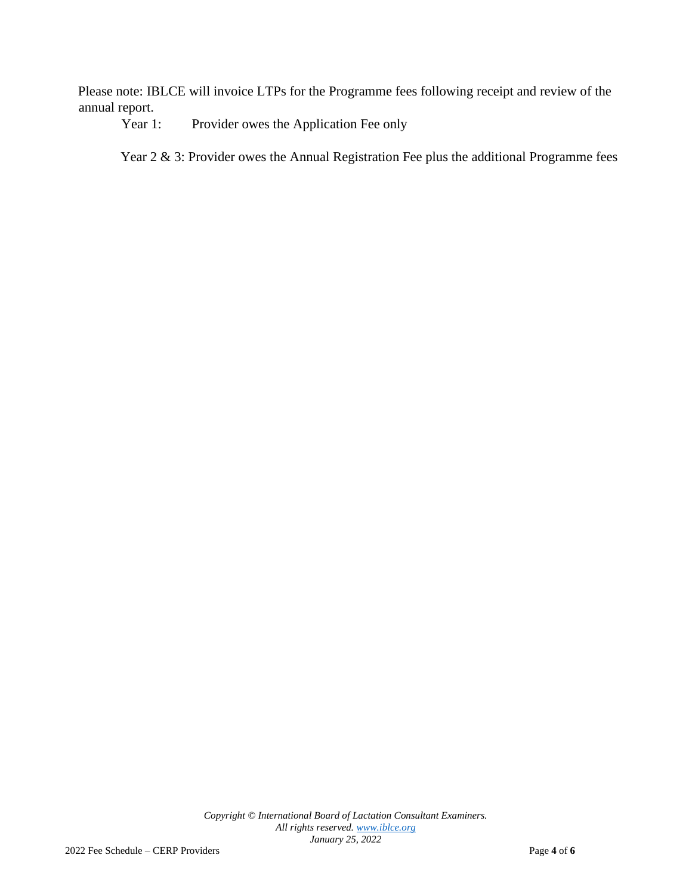Please note: IBLCE will invoice LTPs for the Programme fees following receipt and review of the annual report.

Year 1: Provider owes the Application Fee only

Year 2 & 3: Provider owes the Annual Registration Fee plus the additional Programme fees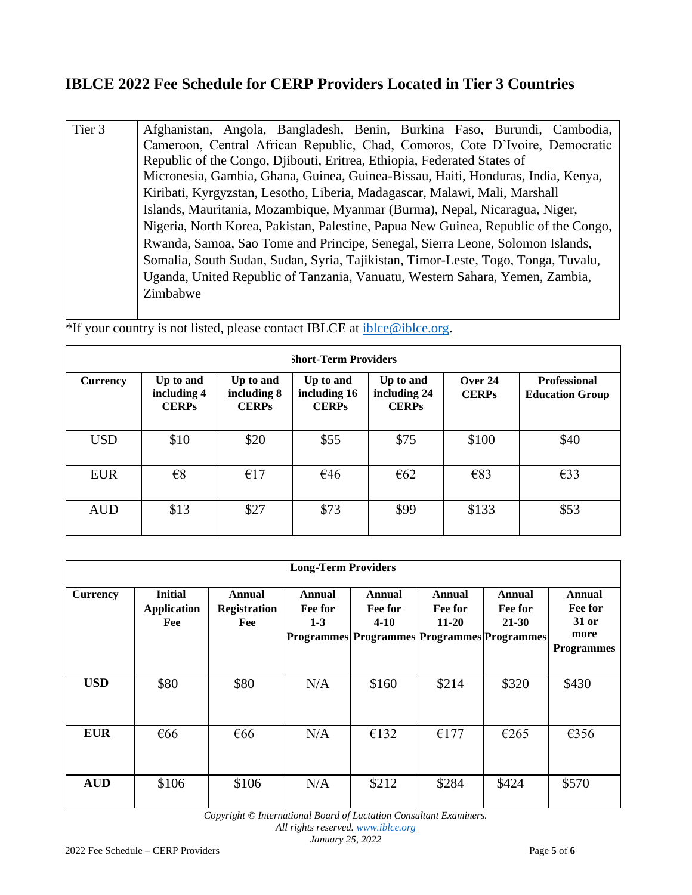## **IBLCE 2022 Fee Schedule for CERP Providers Located in Tier 3 Countries**

Tier 3 Afghanistan, Angola, Bangladesh, Benin, Burkina Faso, Burundi, Cambodia, Cameroon, Central African Republic, Chad, Comoros, Cote D'Ivoire, Democratic Republic of the Congo, Djibouti, Eritrea, Ethiopia, Federated States of Micronesia, Gambia, Ghana, Guinea, Guinea-Bissau, Haiti, Honduras, India, Kenya, Kiribati, Kyrgyzstan, Lesotho, Liberia, Madagascar, Malawi, Mali, Marshall Islands, Mauritania, Mozambique, Myanmar (Burma), Nepal, Nicaragua, Niger, Nigeria, North Korea, Pakistan, Palestine, Papua New Guinea, Republic of the Congo, Rwanda, Samoa, Sao Tome and Principe, Senegal, Sierra Leone, Solomon Islands, Somalia, South Sudan, Sudan, Syria, Tajikistan, Timor-Leste, Togo, Tonga, Tuvalu, Uganda, United Republic of Tanzania, Vanuatu, Western Sahara, Yemen, Zambia, Zimbabwe

\*If your country is not listed, please contact IBLCE at iblce@iblce.org.

| <b>Short-Term Providers</b> |                                          |                                          |                                           |                                           |                           |                                               |  |  |
|-----------------------------|------------------------------------------|------------------------------------------|-------------------------------------------|-------------------------------------------|---------------------------|-----------------------------------------------|--|--|
| <b>Currency</b>             | Up to and<br>including 4<br><b>CERPs</b> | Up to and<br>including 8<br><b>CERPs</b> | Up to and<br>including 16<br><b>CERPs</b> | Up to and<br>including 24<br><b>CERPs</b> | Over $24$<br><b>CERPs</b> | <b>Professional</b><br><b>Education Group</b> |  |  |
| <b>USD</b>                  | \$10                                     | \$20                                     | \$55                                      | \$75                                      | \$100                     | \$40                                          |  |  |
| <b>EUR</b>                  | $\epsilon$ 8                             | €17                                      | €46                                       | $\epsilon$ 62                             | €83                       | E33                                           |  |  |
| <b>AUD</b>                  | \$13                                     | \$27                                     | \$73                                      | \$99                                      | \$133                     | \$53                                          |  |  |

| <b>Long-Term Providers</b> |                                             |                                      |                            |                                                                              |                                |                                |                                                         |  |  |
|----------------------------|---------------------------------------------|--------------------------------------|----------------------------|------------------------------------------------------------------------------|--------------------------------|--------------------------------|---------------------------------------------------------|--|--|
| <b>Currency</b>            | <b>Initial</b><br><b>Application</b><br>Fee | Annual<br><b>Registration</b><br>Fee | Annual<br>Fee for<br>$1-3$ | Annual<br>Fee for<br>$4 - 10$<br>Programmes Programmes Programmes Programmes | Annual<br>Fee for<br>$11 - 20$ | Annual<br>Fee for<br>$21 - 30$ | Annual<br>Fee for<br>31 or<br>more<br><b>Programmes</b> |  |  |
| <b>USD</b>                 | \$80                                        | \$80                                 | N/A                        | \$160                                                                        | \$214                          | \$320                          | \$430                                                   |  |  |
| <b>EUR</b>                 | $\epsilon$ 66                               | $\epsilon$ 66                        | N/A                        | €132                                                                         | €177                           | €265                           | €356                                                    |  |  |
| <b>AUD</b>                 | \$106                                       | \$106                                | N/A                        | \$212                                                                        | \$284                          | \$424                          | \$570                                                   |  |  |

*Copyright © International Board of Lactation Consultant Examiners.*